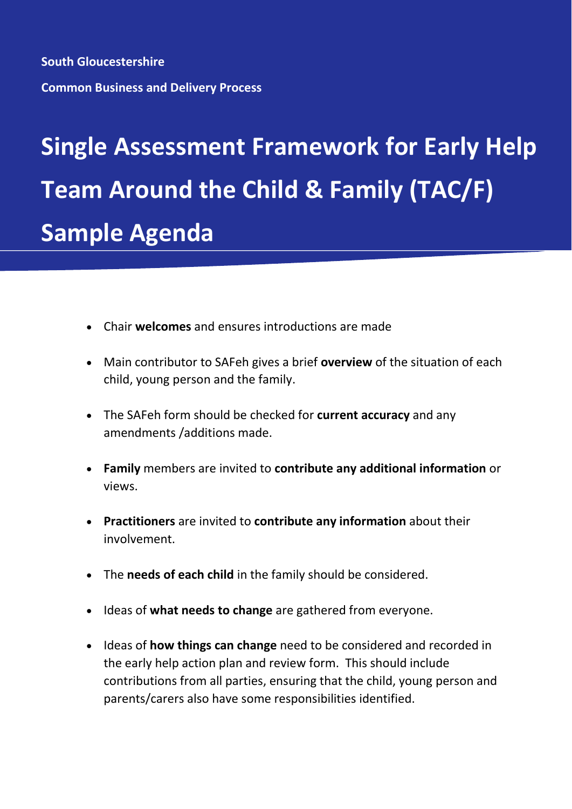**South Gloucestershire Common Business and Delivery Process**

## **Single Assessment Framework for Early Help Team Around the Child & Family (TAC/F) Sample Agenda**

- Chair **welcomes** and ensures introductions are made
- Main contributor to SAFeh gives a brief **overview** of the situation of each child, young person and the family.
- The SAFeh form should be checked for **current accuracy** and any amendments /additions made.
- **Family** members are invited to **contribute any additional information** or views.
- **Practitioners** are invited to **contribute any information** about their involvement.
- The **needs of each child** in the family should be considered.
- Ideas of **what needs to change** are gathered from everyone.
- Ideas of **how things can change** need to be considered and recorded in the early help action plan and review form. This should include contributions from all parties, ensuring that the child, young person and parents/carers also have some responsibilities identified.